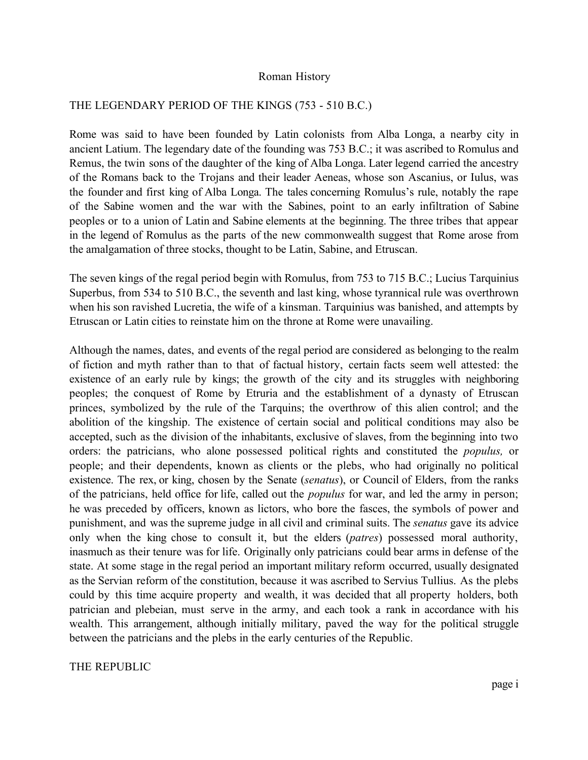### Roman History

# THE LEGENDARY PERIOD OF THE KINGS (753 - 510 B.C.)

Rome was said to have been founded by Latin colonists from Alba Longa, a nearby city in ancient Latium. The legendary date of the founding was 753 B.C.; it was ascribed to Romulus and Remus, the twin sons of the daughter of the king of Alba Longa. Later legend carried the ancestry of the Romans back to the Trojans and their leader Aeneas, whose son Ascanius, or Iulus, was the founder and first king of Alba Longa. The tales concerning Romulus's rule, notably the rape of the Sabine women and the war with the Sabines, point to an early infiltration of Sabine peoples or to a union of Latin and Sabine elements at the beginning. The three tribes that appear in the legend of Romulus as the parts of the new commonwealth suggest that Rome arose from the amalgamation of three stocks, thought to be Latin, Sabine, and Etruscan.

The seven kings of the regal period begin with Romulus, from 753 to 715 B.C.; Lucius Tarquinius Superbus, from 534 to 510 B.C., the seventh and last king, whose tyrannical rule was overthrown when his son ravished Lucretia, the wife of a kinsman. Tarquinius was banished, and attempts by Etruscan or Latin cities to reinstate him on the throne at Rome were unavailing.

Although the names, dates, and events of the regal period are considered as belonging to the realm of fiction and myth rather than to that of factual history, certain facts seem well attested: the existence of an early rule by kings; the growth of the city and its struggles with neighboring peoples; the conquest of Rome by Etruria and the establishment of a dynasty of Etruscan princes, symbolized by the rule of the Tarquins; the overthrow of this alien control; and the abolition of the kingship. The existence of certain social and political conditions may also be accepted, such as the division of the inhabitants, exclusive of slaves, from the beginning into two orders: the patricians, who alone possessed political rights and constituted the *populus,* or people; and their dependents, known as clients or the plebs, who had originally no political existence. The rex, or king, chosen by the Senate (*senatus*), or Council of Elders, from the ranks of the patricians, held office for life, called out the *populus* for war, and led the army in person; he was preceded by officers, known as lictors, who bore the fasces, the symbols of power and punishment, and was the supreme judge in all civil and criminal suits. The *senatus* gave its advice only when the king chose to consult it, but the elders (*patres*) possessed moral authority, inasmuch as their tenure was for life. Originally only patricians could bear arms in defense of the state. At some stage in the regal period an important military reform occurred, usually designated as the Servian reform of the constitution, because it was ascribed to Servius Tullius. As the plebs could by this time acquire property and wealth, it was decided that all property holders, both patrician and plebeian, must serve in the army, and each took a rank in accordance with his wealth. This arrangement, although initially military, paved the way for the political struggle between the patricians and the plebs in the early centuries of the Republic.

#### THE REPUBLIC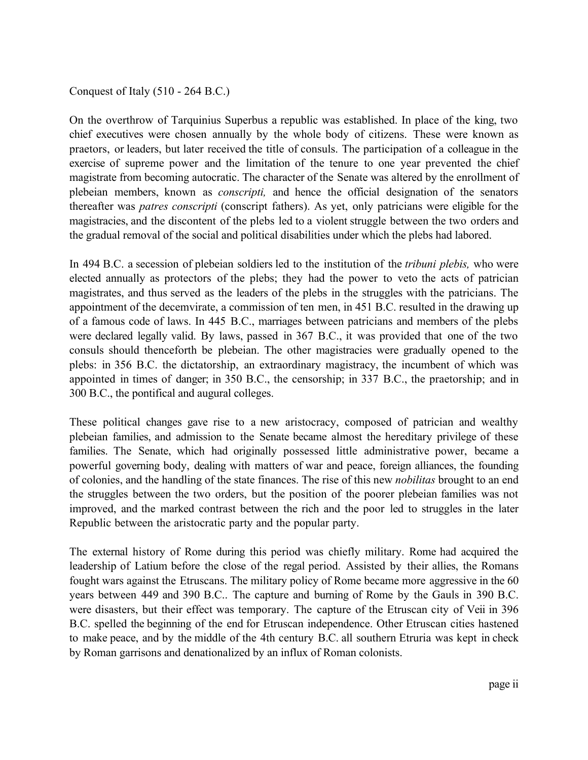Conquest of Italy (510 - 264 B.C.)

On the overthrow of Tarquinius Superbus a republic was established. In place of the king, two chief executives were chosen annually by the whole body of citizens. These were known as praetors, or leaders, but later received the title of consuls. The participation of a colleague in the exercise of supreme power and the limitation of the tenure to one year prevented the chief magistrate from becoming autocratic. The character of the Senate was altered by the enrollment of plebeian members, known as *conscripti,* and hence the official designation of the senators thereafter was *patres conscripti* (conscript fathers). As yet, only patricians were eligible for the magistracies, and the discontent of the plebs led to a violent struggle between the two orders and the gradual removal of the social and political disabilities under which the plebs had labored.

In 494 B.C. a secession of plebeian soldiers led to the institution of the *tribuni plebis,* who were elected annually as protectors of the plebs; they had the power to veto the acts of patrician magistrates, and thus served as the leaders of the plebs in the struggles with the patricians. The appointment of the decemvirate, a commission of ten men, in 451 B.C. resulted in the drawing up of a famous code of laws. In 445 B.C., marriages between patricians and members of the plebs were declared legally valid. By laws, passed in 367 B.C., it was provided that one of the two consuls should thenceforth be plebeian. The other magistracies were gradually opened to the plebs: in 356 B.C. the dictatorship, an extraordinary magistracy, the incumbent of which was appointed in times of danger; in 350 B.C., the censorship; in 337 B.C., the praetorship; and in 300 B.C., the pontifical and augural colleges.

These political changes gave rise to a new aristocracy, composed of patrician and wealthy plebeian families, and admission to the Senate became almost the hereditary privilege of these families. The Senate, which had originally possessed little administrative power, became a powerful governing body, dealing with matters of war and peace, foreign alliances, the founding of colonies, and the handling of the state finances. The rise of this new *nobilitas* brought to an end the struggles between the two orders, but the position of the poorer plebeian families was not improved, and the marked contrast between the rich and the poor led to struggles in the later Republic between the aristocratic party and the popular party.

The external history of Rome during this period was chiefly military. Rome had acquired the leadership of Latium before the close of the regal period. Assisted by their allies, the Romans fought wars against the Etruscans. The military policy of Rome became more aggressive in the 60 years between 449 and 390 B.C.. The capture and burning of Rome by the Gauls in 390 B.C. were disasters, but their effect was temporary. The capture of the Etruscan city of Veii in 396 B.C. spelled the beginning of the end for Etruscan independence. Other Etruscan cities hastened to make peace, and by the middle of the 4th century B.C. all southern Etruria was kept in check by Roman garrisons and denationalized by an influx of Roman colonists.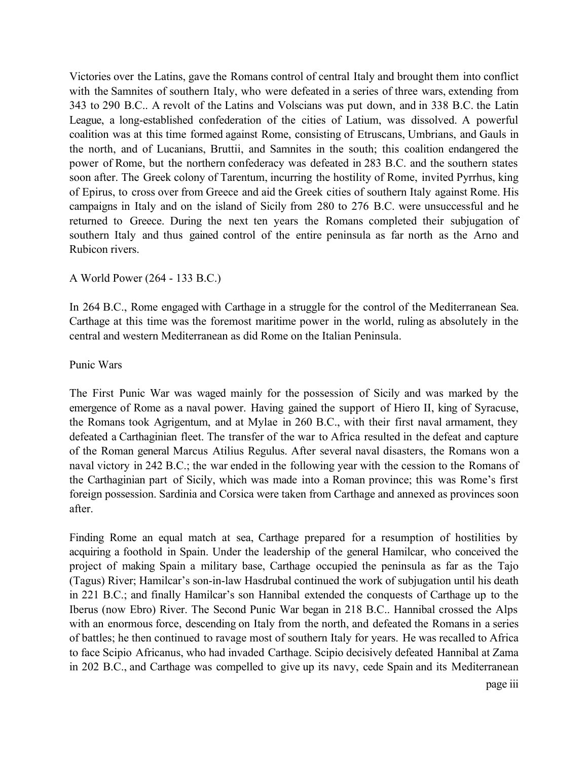Victories over the Latins, gave the Romans control of central Italy and brought them into conflict with the Samnites of southern Italy, who were defeated in a series of three wars, extending from 343 to 290 B.C.. A revolt of the Latins and Volscians was put down, and in 338 B.C. the Latin League, a long-established confederation of the cities of Latium, was dissolved. A powerful coalition was at this time formed against Rome, consisting of Etruscans, Umbrians, and Gauls in the north, and of Lucanians, Bruttii, and Samnites in the south; this coalition endangered the power of Rome, but the northern confederacy was defeated in 283 B.C. and the southern states soon after. The Greek colony of Tarentum, incurring the hostility of Rome, invited Pyrrhus, king of Epirus, to cross over from Greece and aid the Greek cities of southern Italy against Rome. His campaigns in Italy and on the island of Sicily from 280 to 276 B.C. were unsuccessful and he returned to Greece. During the next ten years the Romans completed their subjugation of southern Italy and thus gained control of the entire peninsula as far north as the Arno and Rubicon rivers.

## A World Power (264 - 133 B.C.)

In 264 B.C., Rome engaged with Carthage in a struggle for the control of the Mediterranean Sea. Carthage at this time was the foremost maritime power in the world, ruling as absolutely in the central and western Mediterranean as did Rome on the Italian Peninsula.

#### Punic Wars

The First Punic War was waged mainly for the possession of Sicily and was marked by the emergence of Rome as a naval power. Having gained the support of Hiero II, king of Syracuse, the Romans took Agrigentum, and at Mylae in 260 B.C., with their first naval armament, they defeated a Carthaginian fleet. The transfer of the war to Africa resulted in the defeat and capture of the Roman general Marcus Atilius Regulus. After several naval disasters, the Romans won a naval victory in 242 B.C.; the war ended in the following year with the cession to the Romans of the Carthaginian part of Sicily, which was made into a Roman province; this was Rome's first foreign possession. Sardinia and Corsica were taken from Carthage and annexed as provinces soon after.

Finding Rome an equal match at sea, Carthage prepared for a resumption of hostilities by acquiring a foothold in Spain. Under the leadership of the general Hamilcar, who conceived the project of making Spain a military base, Carthage occupied the peninsula as far as the Tajo (Tagus) River; Hamilcar's son-in-law Hasdrubal continued the work of subjugation until his death in 221 B.C.; and finally Hamilcar's son Hannibal extended the conquests of Carthage up to the Iberus (now Ebro) River. The Second Punic War began in 218 B.C.. Hannibal crossed the Alps with an enormous force, descending on Italy from the north, and defeated the Romans in a series of battles; he then continued to ravage most of southern Italy for years. He was recalled to Africa to face Scipio Africanus, who had invaded Carthage. Scipio decisively defeated Hannibal at Zama in 202 B.C., and Carthage was compelled to give up its navy, cede Spain and its Mediterranean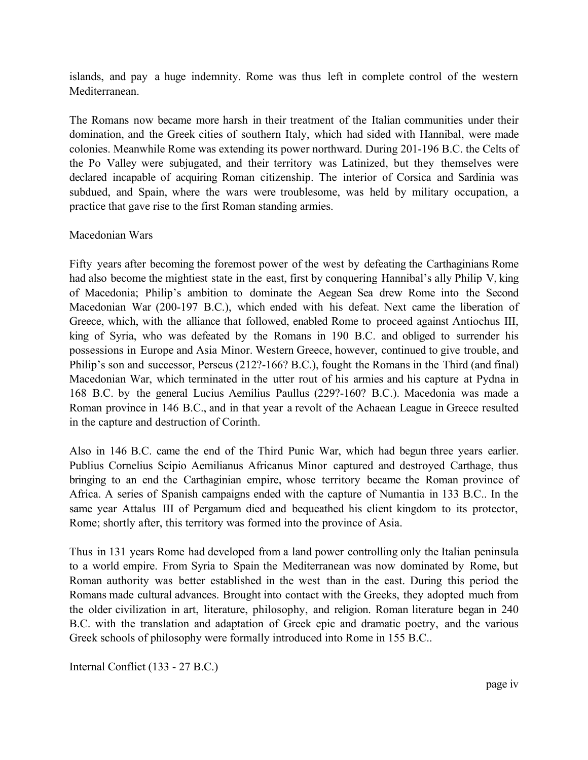islands, and pay a huge indemnity. Rome was thus left in complete control of the western Mediterranean.

The Romans now became more harsh in their treatment of the Italian communities under their domination, and the Greek cities of southern Italy, which had sided with Hannibal, were made colonies. Meanwhile Rome was extending its power northward. During 201-196 B.C. the Celts of the Po Valley were subjugated, and their territory was Latinized, but they themselves were declared incapable of acquiring Roman citizenship. The interior of Corsica and Sardinia was subdued, and Spain, where the wars were troublesome, was held by military occupation, a practice that gave rise to the first Roman standing armies.

## Macedonian Wars

Fifty years after becoming the foremost power of the west by defeating the Carthaginians Rome had also become the mightiest state in the east, first by conquering Hannibal's ally Philip V, king of Macedonia; Philip's ambition to dominate the Aegean Sea drew Rome into the Second Macedonian War (200-197 B.C.), which ended with his defeat. Next came the liberation of Greece, which, with the alliance that followed, enabled Rome to proceed against Antiochus III, king of Syria, who was defeated by the Romans in 190 B.C. and obliged to surrender his possessions in Europe and Asia Minor. Western Greece, however, continued to give trouble, and Philip's son and successor, Perseus (212?-166? B.C.), fought the Romans in the Third (and final) Macedonian War, which terminated in the utter rout of his armies and his capture at Pydna in 168 B.C. by the general Lucius Aemilius Paullus (229?-160? B.C.). Macedonia was made a Roman province in 146 B.C., and in that year a revolt of the Achaean League in Greece resulted in the capture and destruction of Corinth.

Also in 146 B.C. came the end of the Third Punic War, which had begun three years earlier. Publius Cornelius Scipio Aemilianus Africanus Minor captured and destroyed Carthage, thus bringing to an end the Carthaginian empire, whose territory became the Roman province of Africa. A series of Spanish campaigns ended with the capture of Numantia in 133 B.C.. In the same year Attalus III of Pergamum died and bequeathed his client kingdom to its protector, Rome; shortly after, this territory was formed into the province of Asia.

Thus in 131 years Rome had developed from a land power controlling only the Italian peninsula to a world empire. From Syria to Spain the Mediterranean was now dominated by Rome, but Roman authority was better established in the west than in the east. During this period the Romans made cultural advances. Brought into contact with the Greeks, they adopted much from the older civilization in art, literature, philosophy, and religion. Roman literature began in 240 B.C. with the translation and adaptation of Greek epic and dramatic poetry, and the various Greek schools of philosophy were formally introduced into Rome in 155 B.C..

Internal Conflict (133 - 27 B.C.)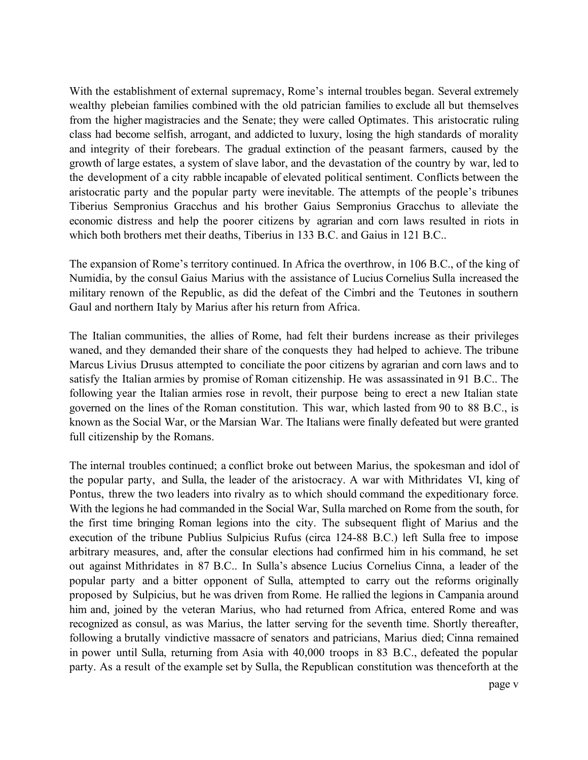With the establishment of external supremacy, Rome's internal troubles began. Several extremely wealthy plebeian families combined with the old patrician families to exclude all but themselves from the higher magistracies and the Senate; they were called Optimates. This aristocratic ruling class had become selfish, arrogant, and addicted to luxury, losing the high standards of morality and integrity of their forebears. The gradual extinction of the peasant farmers, caused by the growth of large estates, a system of slave labor, and the devastation of the country by war, led to the development of a city rabble incapable of elevated political sentiment. Conflicts between the aristocratic party and the popular party were inevitable. The attempts of the people's tribunes Tiberius Sempronius Gracchus and his brother Gaius Sempronius Gracchus to alleviate the economic distress and help the poorer citizens by agrarian and corn laws resulted in riots in which both brothers met their deaths, Tiberius in 133 B.C. and Gaius in 121 B.C..

The expansion of Rome's territory continued. In Africa the overthrow, in 106 B.C., of the king of Numidia, by the consul Gaius Marius with the assistance of Lucius Cornelius Sulla increased the military renown of the Republic, as did the defeat of the Cimbri and the Teutones in southern Gaul and northern Italy by Marius after his return from Africa.

The Italian communities, the allies of Rome, had felt their burdens increase as their privileges waned, and they demanded their share of the conquests they had helped to achieve. The tribune Marcus Livius Drusus attempted to conciliate the poor citizens by agrarian and corn laws and to satisfy the Italian armies by promise of Roman citizenship. He was assassinated in 91 B.C.. The following year the Italian armies rose in revolt, their purpose being to erect a new Italian state governed on the lines of the Roman constitution. This war, which lasted from 90 to 88 B.C., is known as the Social War, or the Marsian War. The Italians were finally defeated but were granted full citizenship by the Romans.

The internal troubles continued; a conflict broke out between Marius, the spokesman and idol of the popular party, and Sulla, the leader of the aristocracy. A war with Mithridates VI, king of Pontus, threw the two leaders into rivalry as to which should command the expeditionary force. With the legions he had commanded in the Social War, Sulla marched on Rome from the south, for the first time bringing Roman legions into the city. The subsequent flight of Marius and the execution of the tribune Publius Sulpicius Rufus (circa 124-88 B.C.) left Sulla free to impose arbitrary measures, and, after the consular elections had confirmed him in his command, he set out against Mithridates in 87 B.C.. In Sulla's absence Lucius Cornelius Cinna, a leader of the popular party and a bitter opponent of Sulla, attempted to carry out the reforms originally proposed by Sulpicius, but he was driven from Rome. He rallied the legions in Campania around him and, joined by the veteran Marius, who had returned from Africa, entered Rome and was recognized as consul, as was Marius, the latter serving for the seventh time. Shortly thereafter, following a brutally vindictive massacre of senators and patricians, Marius died; Cinna remained in power until Sulla, returning from Asia with 40,000 troops in 83 B.C., defeated the popular party. As a result of the example set by Sulla, the Republican constitution was thenceforth at the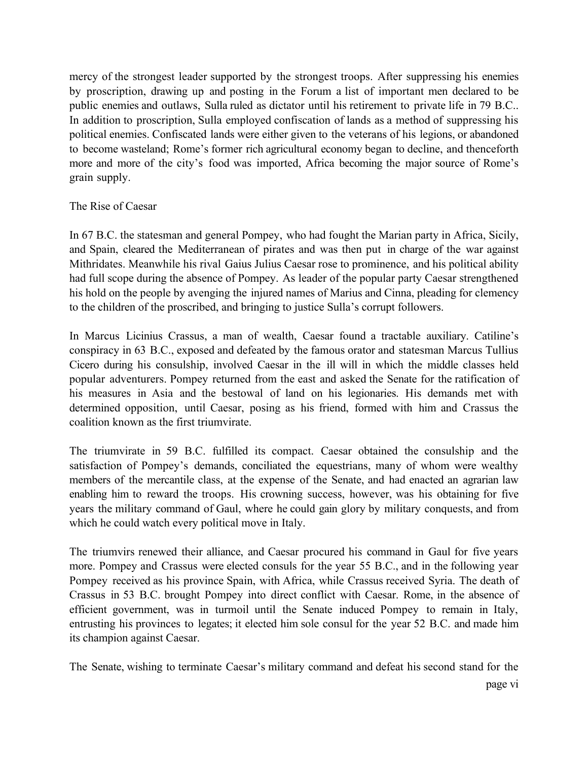mercy of the strongest leader supported by the strongest troops. After suppressing his enemies by proscription, drawing up and posting in the Forum a list of important men declared to be public enemies and outlaws, Sulla ruled as dictator until his retirement to private life in 79 B.C.. In addition to proscription, Sulla employed confiscation of lands as a method of suppressing his political enemies. Confiscated lands were either given to the veterans of his legions, or abandoned to become wasteland; Rome's former rich agricultural economy began to decline, and thenceforth more and more of the city's food was imported, Africa becoming the major source of Rome's grain supply.

## The Rise of Caesar

In 67 B.C. the statesman and general Pompey, who had fought the Marian party in Africa, Sicily, and Spain, cleared the Mediterranean of pirates and was then put in charge of the war against Mithridates. Meanwhile his rival Gaius Julius Caesar rose to prominence, and his political ability had full scope during the absence of Pompey. As leader of the popular party Caesar strengthened his hold on the people by avenging the injured names of Marius and Cinna, pleading for clemency to the children of the proscribed, and bringing to justice Sulla's corrupt followers.

In Marcus Licinius Crassus, a man of wealth, Caesar found a tractable auxiliary. Catiline's conspiracy in 63 B.C., exposed and defeated by the famous orator and statesman Marcus Tullius Cicero during his consulship, involved Caesar in the ill will in which the middle classes held popular adventurers. Pompey returned from the east and asked the Senate for the ratification of his measures in Asia and the bestowal of land on his legionaries. His demands met with determined opposition, until Caesar, posing as his friend, formed with him and Crassus the coalition known as the first triumvirate.

The triumvirate in 59 B.C. fulfilled its compact. Caesar obtained the consulship and the satisfaction of Pompey's demands, conciliated the equestrians, many of whom were wealthy members of the mercantile class, at the expense of the Senate, and had enacted an agrarian law enabling him to reward the troops. His crowning success, however, was his obtaining for five years the military command of Gaul, where he could gain glory by military conquests, and from which he could watch every political move in Italy.

The triumvirs renewed their alliance, and Caesar procured his command in Gaul for five years more. Pompey and Crassus were elected consuls for the year 55 B.C., and in the following year Pompey received as his province Spain, with Africa, while Crassus received Syria. The death of Crassus in 53 B.C. brought Pompey into direct conflict with Caesar. Rome, in the absence of efficient government, was in turmoil until the Senate induced Pompey to remain in Italy, entrusting his provinces to legates; it elected him sole consul for the year 52 B.C. and made him its champion against Caesar.

The Senate, wishing to terminate Caesar's military command and defeat his second stand for the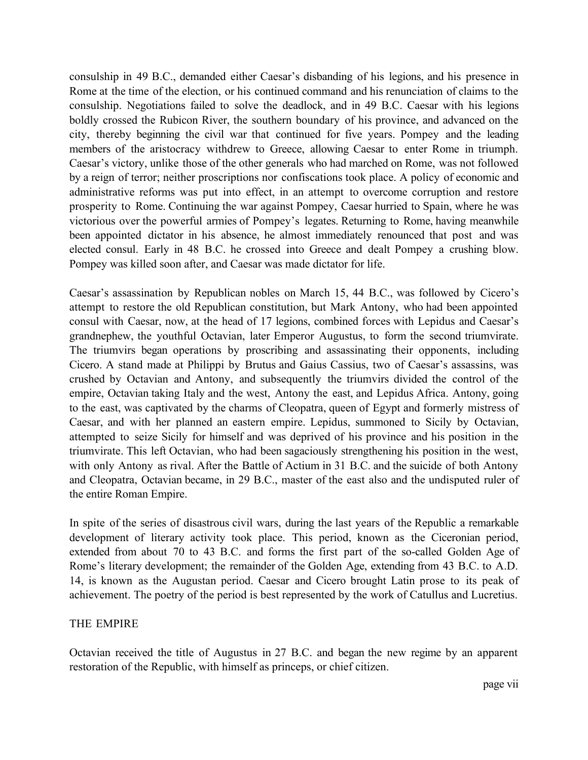consulship in 49 B.C., demanded either Caesar's disbanding of his legions, and his presence in Rome at the time of the election, or his continued command and his renunciation of claims to the consulship. Negotiations failed to solve the deadlock, and in 49 B.C. Caesar with his legions boldly crossed the Rubicon River, the southern boundary of his province, and advanced on the city, thereby beginning the civil war that continued for five years. Pompey and the leading members of the aristocracy withdrew to Greece, allowing Caesar to enter Rome in triumph. Caesar's victory, unlike those of the other generals who had marched on Rome, was not followed by a reign of terror; neither proscriptions nor confiscations took place. A policy of economic and administrative reforms was put into effect, in an attempt to overcome corruption and restore prosperity to Rome. Continuing the war against Pompey, Caesar hurried to Spain, where he was victorious over the powerful armies of Pompey's legates. Returning to Rome, having meanwhile been appointed dictator in his absence, he almost immediately renounced that post and was elected consul. Early in 48 B.C. he crossed into Greece and dealt Pompey a crushing blow. Pompey was killed soon after, and Caesar was made dictator for life.

Caesar's assassination by Republican nobles on March 15, 44 B.C., was followed by Cicero's attempt to restore the old Republican constitution, but Mark Antony, who had been appointed consul with Caesar, now, at the head of 17 legions, combined forces with Lepidus and Caesar's grandnephew, the youthful Octavian, later Emperor Augustus, to form the second triumvirate. The triumvirs began operations by proscribing and assassinating their opponents, including Cicero. A stand made at Philippi by Brutus and Gaius Cassius, two of Caesar's assassins, was crushed by Octavian and Antony, and subsequently the triumvirs divided the control of the empire, Octavian taking Italy and the west, Antony the east, and Lepidus Africa. Antony, going to the east, was captivated by the charms of Cleopatra, queen of Egypt and formerly mistress of Caesar, and with her planned an eastern empire. Lepidus, summoned to Sicily by Octavian, attempted to seize Sicily for himself and was deprived of his province and his position in the triumvirate. This left Octavian, who had been sagaciously strengthening his position in the west, with only Antony as rival. After the Battle of Actium in 31 B.C. and the suicide of both Antony and Cleopatra, Octavian became, in 29 B.C., master of the east also and the undisputed ruler of the entire Roman Empire.

In spite of the series of disastrous civil wars, during the last years of the Republic a remarkable development of literary activity took place. This period, known as the Ciceronian period, extended from about 70 to 43 B.C. and forms the first part of the so-called Golden Age of Rome's literary development; the remainder of the Golden Age, extending from 43 B.C. to A.D. 14, is known as the Augustan period. Caesar and Cicero brought Latin prose to its peak of achievement. The poetry of the period is best represented by the work of Catullus and Lucretius.

#### THE EMPIRE

Octavian received the title of Augustus in 27 B.C. and began the new regime by an apparent restoration of the Republic, with himself as princeps, or chief citizen.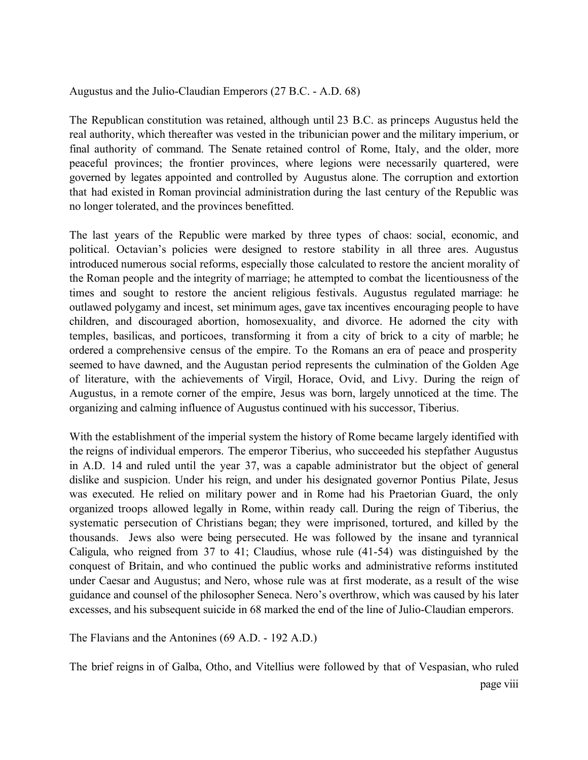Augustus and the Julio-Claudian Emperors (27 B.C. - A.D. 68)

The Republican constitution was retained, although until 23 B.C. as princeps Augustus held the real authority, which thereafter was vested in the tribunician power and the military imperium, or final authority of command. The Senate retained control of Rome, Italy, and the older, more peaceful provinces; the frontier provinces, where legions were necessarily quartered, were governed by legates appointed and controlled by Augustus alone. The corruption and extortion that had existed in Roman provincial administration during the last century of the Republic was no longer tolerated, and the provinces benefitted.

The last years of the Republic were marked by three types of chaos: social, economic, and political. Octavian's policies were designed to restore stability in all three ares. Augustus introduced numerous social reforms, especially those calculated to restore the ancient morality of the Roman people and the integrity of marriage; he attempted to combat the licentiousness of the times and sought to restore the ancient religious festivals. Augustus regulated marriage: he outlawed polygamy and incest, set minimum ages, gave tax incentives encouraging people to have children, and discouraged abortion, homosexuality, and divorce. He adorned the city with temples, basilicas, and porticoes, transforming it from a city of brick to a city of marble; he ordered a comprehensive census of the empire. To the Romans an era of peace and prosperity seemed to have dawned, and the Augustan period represents the culmination of the Golden Age of literature, with the achievements of Virgil, Horace, Ovid, and Livy. During the reign of Augustus, in a remote corner of the empire, Jesus was born, largely unnoticed at the time. The organizing and calming influence of Augustus continued with his successor, Tiberius.

With the establishment of the imperial system the history of Rome became largely identified with the reigns of individual emperors. The emperor Tiberius, who succeeded his stepfather Augustus in A.D. 14 and ruled until the year 37, was a capable administrator but the object of general dislike and suspicion. Under his reign, and under his designated governor Pontius Pilate, Jesus was executed. He relied on military power and in Rome had his Praetorian Guard, the only organized troops allowed legally in Rome, within ready call. During the reign of Tiberius, the systematic persecution of Christians began; they were imprisoned, tortured, and killed by the thousands. Jews also were being persecuted. He was followed by the insane and tyrannical Caligula, who reigned from 37 to 41; Claudius, whose rule (41-54) was distinguished by the conquest of Britain, and who continued the public works and administrative reforms instituted under Caesar and Augustus; and Nero, whose rule was at first moderate, as a result of the wise guidance and counsel of the philosopher Seneca. Nero's overthrow, which was caused by his later excesses, and his subsequent suicide in 68 marked the end of the line of Julio-Claudian emperors.

The Flavians and the Antonines (69 A.D. - 192 A.D.)

The brief reigns in of Galba, Otho, and Vitellius were followed by that of Vespasian, who ruled page viii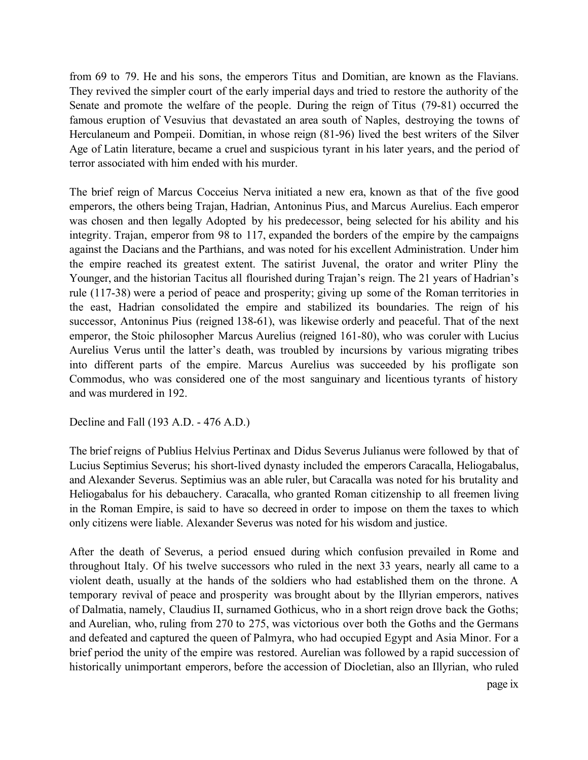from 69 to 79. He and his sons, the emperors Titus and Domitian, are known as the Flavians. They revived the simpler court of the early imperial days and tried to restore the authority of the Senate and promote the welfare of the people. During the reign of Titus (79-81) occurred the famous eruption of Vesuvius that devastated an area south of Naples, destroying the towns of Herculaneum and Pompeii. Domitian, in whose reign (81-96) lived the best writers of the Silver Age of Latin literature, became a cruel and suspicious tyrant in his later years, and the period of terror associated with him ended with his murder.

The brief reign of Marcus Cocceius Nerva initiated a new era, known as that of the five good emperors, the others being Trajan, Hadrian, Antoninus Pius, and Marcus Aurelius. Each emperor was chosen and then legally Adopted by his predecessor, being selected for his ability and his integrity. Trajan, emperor from 98 to 117, expanded the borders of the empire by the campaigns against the Dacians and the Parthians, and was noted for his excellent Administration. Under him the empire reached its greatest extent. The satirist Juvenal, the orator and writer Pliny the Younger, and the historian Tacitus all flourished during Trajan's reign. The 21 years of Hadrian's rule (117-38) were a period of peace and prosperity; giving up some of the Roman territories in the east, Hadrian consolidated the empire and stabilized its boundaries. The reign of his successor, Antoninus Pius (reigned 138-61), was likewise orderly and peaceful. That of the next emperor, the Stoic philosopher Marcus Aurelius (reigned 161-80), who was coruler with Lucius Aurelius Verus until the latter's death, was troubled by incursions by various migrating tribes into different parts of the empire. Marcus Aurelius was succeeded by his profligate son Commodus, who was considered one of the most sanguinary and licentious tyrants of history and was murdered in 192.

Decline and Fall (193 A.D. - 476 A.D.)

The brief reigns of Publius Helvius Pertinax and Didus Severus Julianus were followed by that of Lucius Septimius Severus; his short-lived dynasty included the emperors Caracalla, Heliogabalus, and Alexander Severus. Septimius was an able ruler, but Caracalla was noted for his brutality and Heliogabalus for his debauchery. Caracalla, who granted Roman citizenship to all freemen living in the Roman Empire, is said to have so decreed in order to impose on them the taxes to which only citizens were liable. Alexander Severus was noted for his wisdom and justice.

After the death of Severus, a period ensued during which confusion prevailed in Rome and throughout Italy. Of his twelve successors who ruled in the next 33 years, nearly all came to a violent death, usually at the hands of the soldiers who had established them on the throne. A temporary revival of peace and prosperity was brought about by the Illyrian emperors, natives of Dalmatia, namely, Claudius II, surnamed Gothicus, who in a short reign drove back the Goths; and Aurelian, who, ruling from 270 to 275, was victorious over both the Goths and the Germans and defeated and captured the queen of Palmyra, who had occupied Egypt and Asia Minor. For a brief period the unity of the empire was restored. Aurelian was followed by a rapid succession of historically unimportant emperors, before the accession of Diocletian, also an Illyrian, who ruled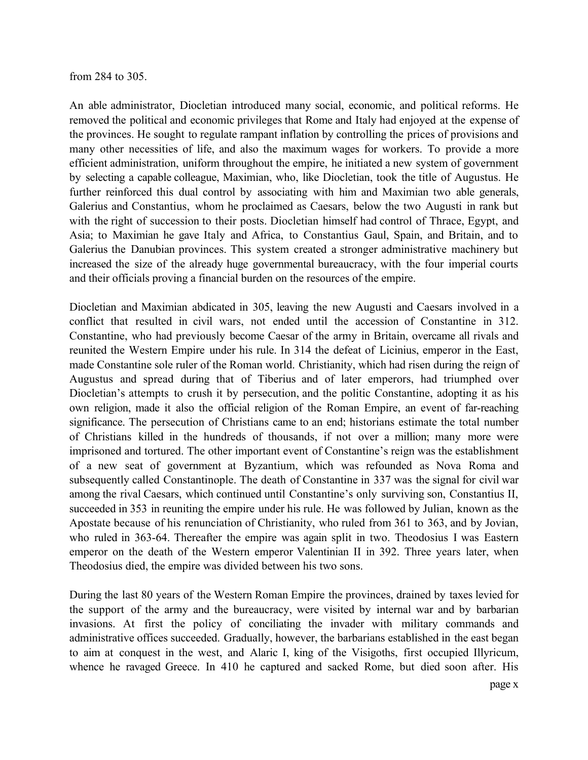from 284 to 305.

An able administrator, Diocletian introduced many social, economic, and political reforms. He removed the political and economic privileges that Rome and Italy had enjoyed at the expense of the provinces. He sought to regulate rampant inflation by controlling the prices of provisions and many other necessities of life, and also the maximum wages for workers. To provide a more efficient administration, uniform throughout the empire, he initiated a new system of government by selecting a capable colleague, Maximian, who, like Diocletian, took the title of Augustus. He further reinforced this dual control by associating with him and Maximian two able generals, Galerius and Constantius, whom he proclaimed as Caesars, below the two Augusti in rank but with the right of succession to their posts. Diocletian himself had control of Thrace, Egypt, and Asia; to Maximian he gave Italy and Africa, to Constantius Gaul, Spain, and Britain, and to Galerius the Danubian provinces. This system created a stronger administrative machinery but increased the size of the already huge governmental bureaucracy, with the four imperial courts and their officials proving a financial burden on the resources of the empire.

Diocletian and Maximian abdicated in 305, leaving the new Augusti and Caesars involved in a conflict that resulted in civil wars, not ended until the accession of Constantine in 312. Constantine, who had previously become Caesar of the army in Britain, overcame all rivals and reunited the Western Empire under his rule. In 314 the defeat of Licinius, emperor in the East, made Constantine sole ruler of the Roman world. Christianity, which had risen during the reign of Augustus and spread during that of Tiberius and of later emperors, had triumphed over Diocletian's attempts to crush it by persecution, and the politic Constantine, adopting it as his own religion, made it also the official religion of the Roman Empire, an event of far-reaching significance. The persecution of Christians came to an end; historians estimate the total number of Christians killed in the hundreds of thousands, if not over a million; many more were imprisoned and tortured. The other important event of Constantine's reign was the establishment of a new seat of government at Byzantium, which was refounded as Nova Roma and subsequently called Constantinople. The death of Constantine in 337 was the signal for civil war among the rival Caesars, which continued until Constantine's only surviving son, Constantius II, succeeded in 353 in reuniting the empire under his rule. He was followed by Julian, known as the Apostate because of his renunciation of Christianity, who ruled from 361 to 363, and by Jovian, who ruled in 363-64. Thereafter the empire was again split in two. Theodosius I was Eastern emperor on the death of the Western emperor Valentinian II in 392. Three years later, when Theodosius died, the empire was divided between his two sons.

During the last 80 years of the Western Roman Empire the provinces, drained by taxes levied for the support of the army and the bureaucracy, were visited by internal war and by barbarian invasions. At first the policy of conciliating the invader with military commands and administrative offices succeeded. Gradually, however, the barbarians established in the east began to aim at conquest in the west, and Alaric I, king of the Visigoths, first occupied Illyricum, whence he ravaged Greece. In 410 he captured and sacked Rome, but died soon after. His